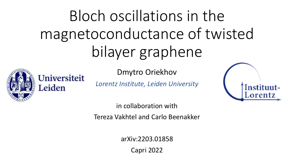# Bloch oscillations in the magnetoconductance of twisted bilayer graphene

Dmytro Oriekhov

**Universiteit** 

Leiden

*Lorentz Institute, Leiden University*



in collaboration with

Tereza Vakhtel and Carlo Beenakker

arXiv:2203.01858

Capri 2022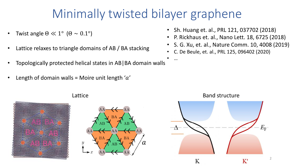#### Minimally twisted bilayer graphene

• …

- Twist angle  $\Theta \ll 1^{\circ}$  ( $\Theta \sim 0.1^{\circ}$ )
- Lattice relaxes to triangle domains of AB / BA stacking
- Topologically protected helical states in AB|BA domain walls
- Length of domain walls = Moire unit length ' $a'$
- Sh. Huang et. al., PRL 121, 037702 (2018)
- P. Rickhaus et. al., Nano Lett. 18, 6725 (2018)
- S. G. Xu, et. al., Nature Comm. 10, 4008 (2019)
- C. De Beule, et. al., PRL 125, 096402 (2020)







#### Lattice **Band structure**

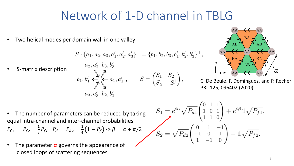#### Network of 1-D channel in TBLG

Two helical modes per domain wall in one valley

$$
S\cdot\{a_1,a_2,a_3,a_1',a_2',a_3'\}^\top=\{b_1,b_2,b_3,b_1',b_2',b_3'\}^\top,
$$

• S-matrix description

$$
a_2, a_2 \quad a_3, b_3
$$
\n
$$
b_1, b'_1 \leftarrow \begin{matrix} \mathbf{1} & \mathbf{1} & \mathbf{1} & \mathbf{1} & \mathbf{1} & \mathbf{1} & \mathbf{1} & \mathbf{1} & \mathbf{1} & \mathbf{1} & \mathbf{1} & \mathbf{1} & \mathbf{1} & \mathbf{1} & \mathbf{1} & \mathbf{1} & \mathbf{1} & \mathbf{1} & \mathbf{1} & \mathbf{1} & \mathbf{1} & \mathbf{1} & \mathbf{1} & \mathbf{1} & \mathbf{1} & \mathbf{1} & \mathbf{1} & \mathbf{1} & \mathbf{1} & \mathbf{1} & \mathbf{1} & \mathbf{1} & \mathbf{1} & \mathbf{1} & \mathbf{1} & \mathbf{1} & \mathbf{1} & \mathbf{1} & \mathbf{1} & \mathbf{1} & \mathbf{1} & \mathbf{1} & \mathbf{1} & \mathbf{1} & \mathbf{1} & \mathbf{1} & \mathbf{1} & \mathbf{1} & \mathbf{1} & \mathbf{1} & \mathbf{1} & \mathbf{1} & \mathbf{1} & \mathbf{1} & \mathbf{1} & \mathbf{1} & \mathbf{1} & \mathbf{1} & \mathbf{1} & \mathbf{1} & \mathbf{1} & \mathbf{1} & \mathbf{1} & \mathbf{1} & \mathbf{1} & \mathbf{1} & \mathbf{1} & \mathbf{1} & \mathbf{1} & \mathbf{1} & \mathbf{1} & \mathbf{1} & \mathbf{1} & \mathbf{1} & \mathbf{1} & \mathbf{1} & \mathbf{1} & \mathbf{1} & \mathbf{1} & \mathbf{1} & \mathbf{1} & \mathbf{1} & \mathbf{1} & \mathbf{1} & \mathbf{1} & \mathbf{1} & \mathbf{1} & \mathbf{1} & \mathbf{1} & \mathbf{1} & \mathbf{1} & \mathbf{1} & \mathbf{1} & \mathbf{1} & \mathbf{1} & \mathbf{1} & \mathbf{1} & \mathbf{1} & \mathbf{1} & \mathbf{1} & \mathbf{1} & \mathbf{1} & \mathbf{
$$

 $1 \quad 1 \quad 11$ 



C. De Beule, F. Dominguez, and P. Recher PRL 125, 096402 (2020)

• The number of parameters can be reduced by taking equal intra-channel and inter-channel probabilities 1 1

$$
P_{f1} = P_{f2} = \frac{1}{2}P_f, \quad P_{d1} = P_{d2} = \frac{1}{4}(1 - P_f) \rightarrow \beta = \alpha + \pi/2
$$

• The parameter  $\alpha$  governs the appearance of closed loops of scattering sequences

$$
S_1 = e^{i\alpha} \sqrt{P_{d1}} \begin{pmatrix} 0 & 1 & 1 \\ 1 & 0 & 1 \\ 1 & 1 & 0 \end{pmatrix} + e^{i\beta} \mathbb{1} \sqrt{P_{f1}},
$$

$$
S_2 = \sqrt{P_{d2}} \begin{pmatrix} 0 & 1 & -1 \\ -1 & 0 & 1 \\ 1 & -1 & 0 \end{pmatrix} - \mathbb{1} \sqrt{P_{f2}}.
$$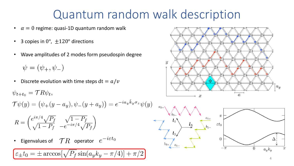#### Quantum random walk description

- $\alpha = 0$  regime: quasi-1D quantum random walk
- 3 copies in  $0^\circ$ ,  $\pm 120^\circ$  directions
- Wave amplitudes of 2 modes form pseudospin degree

 $\psi = (\psi_+, \psi_-)$ 

• Discrete evolution with time steps  $dt = a/v$ 

 $\psi_{t+t_0} = \mathcal{T} R \psi_t,$ 

 $\mathcal{T}\psi(y) = (\psi_+(y - a_y), \psi_-(y + a_y)) = e^{-ia_y \hat{k}_y \sigma_z} \psi(y)$ 

$$
R = \begin{pmatrix} e^{i\pi/4} \sqrt{P_f} & \sqrt{1 - P_f} \\ \sqrt{1 - P_f} & -e^{-i\pi/4} \sqrt{P_f} \end{pmatrix}
$$

• Eigenvalues of  $\mathcal{T}R$  operator  $e^{-i\varepsilon t_0}$ 

$$
\varepsilon_{\pm}t_0 = \pm \arccos[\sqrt{P_f}\sin(a_y k_y - \pi/4)] + \pi/2
$$



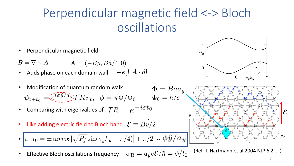### Perpendicular magnetic field <-> Bloch oscillations

• Perpendicular magnetic field

 $B = \nabla \times A$   $A = (-By, Ba/4, 0)$ 

- Adds phase on each domain wall  $-e\int \mathbf{A} \cdot d\mathbf{l}$
- Modification of quantum random walk  $\Phi = Baa_y$  $\psi_{t+t_0} = \tilde{e}^{i\phi\tilde{y}/a\tilde{y}}T R \psi_t, \phi = \pi \Phi/\Phi_0 \qquad \Phi_0 = h/e$
- Comparing with eigenvalues of  $\mathcal{T}R e^{-i \varepsilon t_0}$
- Like adding electric field to Bloch band  $\mathcal{E} \equiv Bv/2$ .

• 
$$
\varepsilon_{\pm} t_0 = \pm \arccos[\sqrt{P_f} \sin(a_y k_y - \pi/4)] + \pi/2 - \phi \hat{y}/a_y
$$

Effective Bloch oscillations frequency  $\omega_{\rm B}=a_y e {\cal E}/\hbar=\phi/t_0$ 





(Ref. T. Hartmann et al 2004 NJP 6 2, …)

5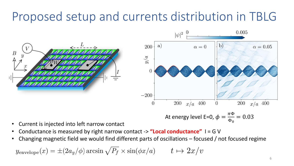## Proposed setup and currents distribution in TBLG



- Current is injected into left narrow contact
- Conductance is measured by right narrow contact -> **"Local conductance"** I = G V
- Changing magnetic field we would find different parts of oscillations focused / not focused regime

 $y_{envelope}(x) = \pm (2a_y/\phi) \arcsin \sqrt{P_f} \times \sin(\phi x/a)$   $t \mapsto 2x/v$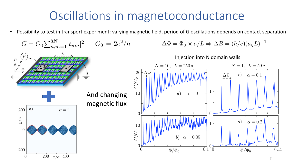#### Oscillations in magnetoconductance

• Possibility to test in transport experiment: varying magnetic field, period of G oscillations depends on contact separation